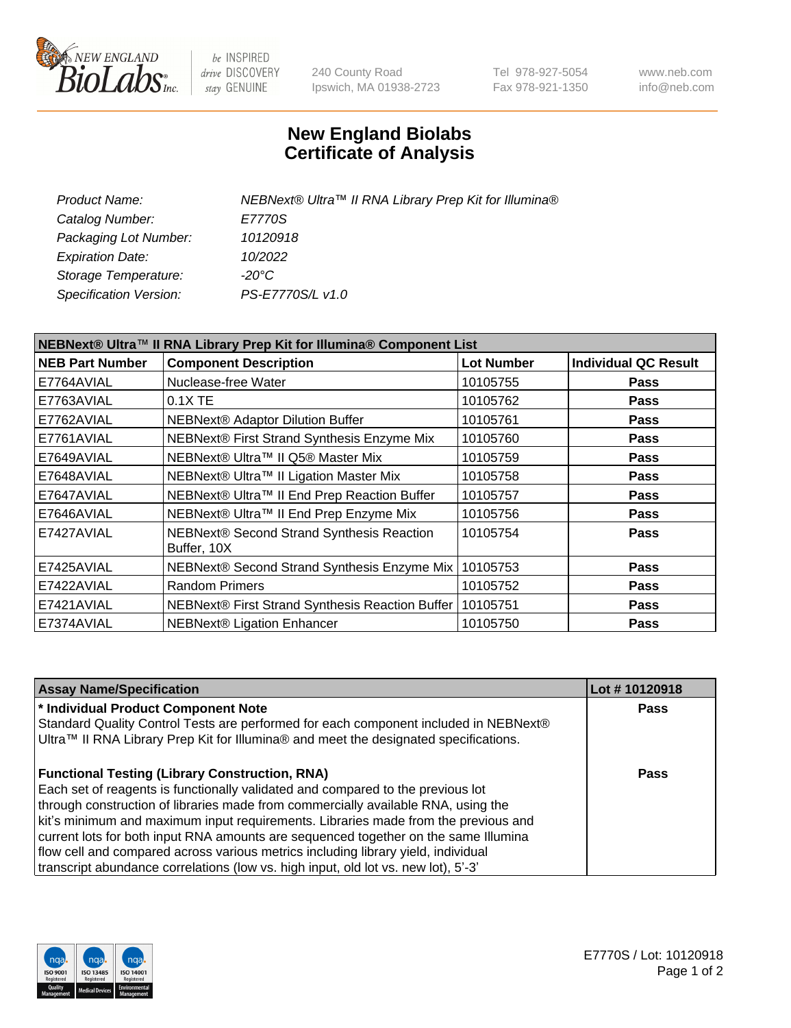

be INSPIRED drive DISCOVERY stay GENUINE

240 County Road Ipswich, MA 01938-2723 Tel 978-927-5054 Fax 978-921-1350 www.neb.com info@neb.com

## **New England Biolabs Certificate of Analysis**

| NEBNext® Ultra™ II RNA Library Prep Kit for Illumina® |
|-------------------------------------------------------|
| E7770S                                                |
| 10120918                                              |
| 10/2022                                               |
|                                                       |
| PS-E7770S/L v1.0                                      |
|                                                       |

| NEBNext® Ultra™ II RNA Library Prep Kit for Illumina® Component List |                                                            |                   |                             |  |
|----------------------------------------------------------------------|------------------------------------------------------------|-------------------|-----------------------------|--|
| <b>NEB Part Number</b>                                               | <b>Component Description</b>                               | <b>Lot Number</b> | <b>Individual QC Result</b> |  |
| E7764AVIAL                                                           | Nuclease-free Water                                        | 10105755          | <b>Pass</b>                 |  |
| E7763AVIAL                                                           | $0.1X$ TE                                                  | 10105762          | <b>Pass</b>                 |  |
| E7762AVIAL                                                           | NEBNext® Adaptor Dilution Buffer                           | 10105761          | <b>Pass</b>                 |  |
| E7761AVIAL                                                           | NEBNext® First Strand Synthesis Enzyme Mix                 | 10105760          | <b>Pass</b>                 |  |
| E7649AVIAL                                                           | NEBNext® Ultra™ II Q5® Master Mix                          | 10105759          | <b>Pass</b>                 |  |
| E7648AVIAL                                                           | NEBNext® Ultra™ II Ligation Master Mix                     | 10105758          | <b>Pass</b>                 |  |
| E7647AVIAL                                                           | NEBNext® Ultra™ II End Prep Reaction Buffer                | 10105757          | <b>Pass</b>                 |  |
| E7646AVIAL                                                           | NEBNext® Ultra™ II End Prep Enzyme Mix                     | 10105756          | <b>Pass</b>                 |  |
| E7427AVIAL                                                           | NEBNext® Second Strand Synthesis Reaction<br>Buffer, 10X   | 10105754          | <b>Pass</b>                 |  |
| E7425AVIAL                                                           | NEBNext® Second Strand Synthesis Enzyme Mix                | 10105753          | <b>Pass</b>                 |  |
| E7422AVIAL                                                           | <b>Random Primers</b>                                      | 10105752          | <b>Pass</b>                 |  |
| E7421AVIAL                                                           | NEBNext® First Strand Synthesis Reaction Buffer   10105751 |                   | <b>Pass</b>                 |  |
| E7374AVIAL                                                           | <b>NEBNext® Ligation Enhancer</b>                          | 10105750          | <b>Pass</b>                 |  |

| <b>Assay Name/Specification</b>                                                      | Lot #10120918 |
|--------------------------------------------------------------------------------------|---------------|
| * Individual Product Component Note                                                  | <b>Pass</b>   |
| Standard Quality Control Tests are performed for each component included in NEBNext® |               |
| Ultra™ II RNA Library Prep Kit for Illumina® and meet the designated specifications. |               |
| <b>Functional Testing (Library Construction, RNA)</b>                                | Pass          |
| Each set of reagents is functionally validated and compared to the previous lot      |               |
| through construction of libraries made from commercially available RNA, using the    |               |
| kit's minimum and maximum input requirements. Libraries made from the previous and   |               |
| current lots for both input RNA amounts are sequenced together on the same Illumina  |               |
| flow cell and compared across various metrics including library yield, individual    |               |
| transcript abundance correlations (low vs. high input, old lot vs. new lot), 5'-3'   |               |